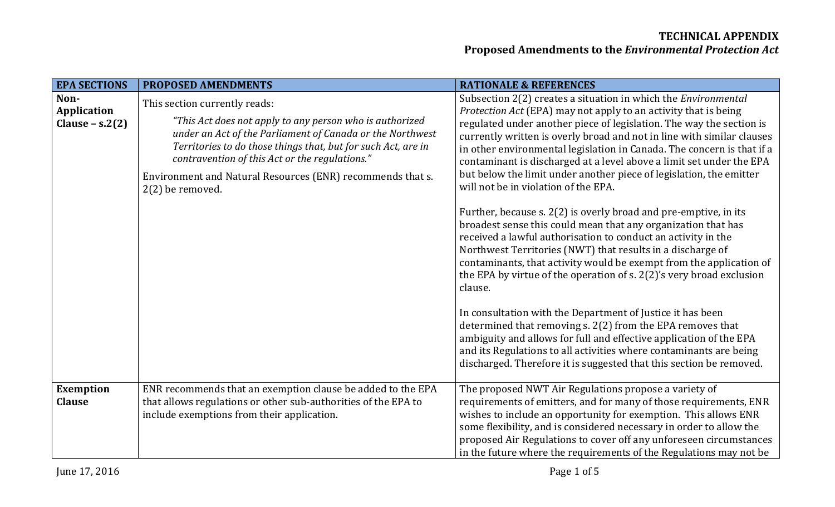| <b>EPA SECTIONS</b>                      | <b>PROPOSED AMENDMENTS</b>                                                                                                                                                                                                                                                                                                                                    | <b>RATIONALE &amp; REFERENCES</b>                                                                                                                                                                                                                                                                                                                                                                                                                                                                                                                           |
|------------------------------------------|---------------------------------------------------------------------------------------------------------------------------------------------------------------------------------------------------------------------------------------------------------------------------------------------------------------------------------------------------------------|-------------------------------------------------------------------------------------------------------------------------------------------------------------------------------------------------------------------------------------------------------------------------------------------------------------------------------------------------------------------------------------------------------------------------------------------------------------------------------------------------------------------------------------------------------------|
| Non-<br>Application<br>Clause $- s.2(2)$ | This section currently reads:<br>"This Act does not apply to any person who is authorized<br>under an Act of the Parliament of Canada or the Northwest<br>Territories to do those things that, but for such Act, are in<br>contravention of this Act or the regulations."<br>Environment and Natural Resources (ENR) recommends that s.<br>$2(2)$ be removed. | Subsection 2(2) creates a situation in which the <i>Environmental</i><br>Protection Act (EPA) may not apply to an activity that is being<br>regulated under another piece of legislation. The way the section is<br>currently written is overly broad and not in line with similar clauses<br>in other environmental legislation in Canada. The concern is that if a<br>contaminant is discharged at a level above a limit set under the EPA<br>but below the limit under another piece of legislation, the emitter<br>will not be in violation of the EPA. |
|                                          |                                                                                                                                                                                                                                                                                                                                                               | Further, because s. 2(2) is overly broad and pre-emptive, in its<br>broadest sense this could mean that any organization that has<br>received a lawful authorisation to conduct an activity in the<br>Northwest Territories (NWT) that results in a discharge of<br>contaminants, that activity would be exempt from the application of<br>the EPA by virtue of the operation of s. 2(2)'s very broad exclusion<br>clause.                                                                                                                                  |
|                                          |                                                                                                                                                                                                                                                                                                                                                               | In consultation with the Department of Justice it has been<br>determined that removing s. 2(2) from the EPA removes that<br>ambiguity and allows for full and effective application of the EPA<br>and its Regulations to all activities where contaminants are being<br>discharged. Therefore it is suggested that this section be removed.                                                                                                                                                                                                                 |
| <b>Exemption</b><br><b>Clause</b>        | ENR recommends that an exemption clause be added to the EPA<br>that allows regulations or other sub-authorities of the EPA to<br>include exemptions from their application.                                                                                                                                                                                   | The proposed NWT Air Regulations propose a variety of<br>requirements of emitters, and for many of those requirements, ENR<br>wishes to include an opportunity for exemption. This allows ENR<br>some flexibility, and is considered necessary in order to allow the<br>proposed Air Regulations to cover off any unforeseen circumstances<br>in the future where the requirements of the Regulations may not be                                                                                                                                            |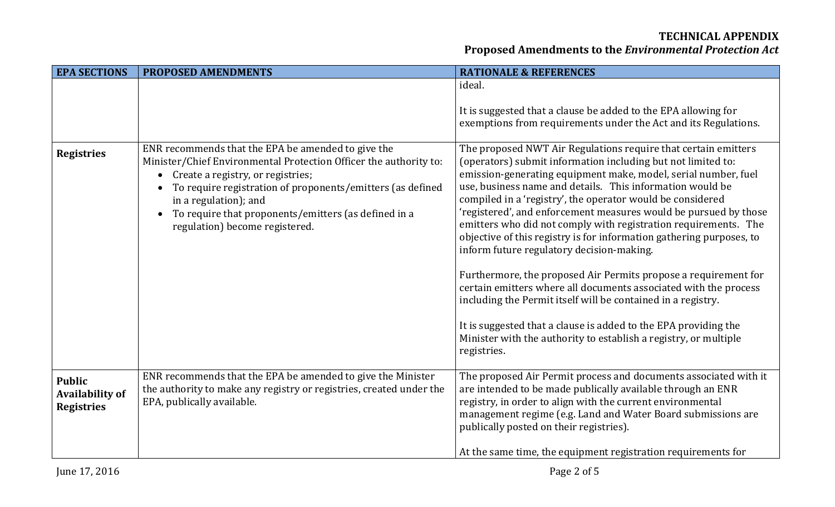### **TECHNICAL APPENDIX**

# **Proposed Amendments to the** *Environmental Protection Act*

| <b>EPA SECTIONS</b>                                          | <b>PROPOSED AMENDMENTS</b>                                                                                                                                                                                                                                                                                                                                 | <b>RATIONALE &amp; REFERENCES</b>                                                                                                                                                                                                                                                                                                                                                                                                                                                                                                                                                       |
|--------------------------------------------------------------|------------------------------------------------------------------------------------------------------------------------------------------------------------------------------------------------------------------------------------------------------------------------------------------------------------------------------------------------------------|-----------------------------------------------------------------------------------------------------------------------------------------------------------------------------------------------------------------------------------------------------------------------------------------------------------------------------------------------------------------------------------------------------------------------------------------------------------------------------------------------------------------------------------------------------------------------------------------|
|                                                              |                                                                                                                                                                                                                                                                                                                                                            | ideal.<br>It is suggested that a clause be added to the EPA allowing for<br>exemptions from requirements under the Act and its Regulations.                                                                                                                                                                                                                                                                                                                                                                                                                                             |
| <b>Registries</b>                                            | ENR recommends that the EPA be amended to give the<br>Minister/Chief Environmental Protection Officer the authority to:<br>Create a registry, or registries;<br>$\bullet$<br>To require registration of proponents/emitters (as defined<br>in a regulation); and<br>To require that proponents/emitters (as defined in a<br>regulation) become registered. | The proposed NWT Air Regulations require that certain emitters<br>(operators) submit information including but not limited to:<br>emission-generating equipment make, model, serial number, fuel<br>use, business name and details. This information would be<br>compiled in a 'registry', the operator would be considered<br>'registered', and enforcement measures would be pursued by those<br>emitters who did not comply with registration requirements. The<br>objective of this registry is for information gathering purposes, to<br>inform future regulatory decision-making. |
|                                                              |                                                                                                                                                                                                                                                                                                                                                            | Furthermore, the proposed Air Permits propose a requirement for<br>certain emitters where all documents associated with the process<br>including the Permit itself will be contained in a registry.<br>It is suggested that a clause is added to the EPA providing the<br>Minister with the authority to establish a registry, or multiple<br>registries.                                                                                                                                                                                                                               |
| <b>Public</b><br><b>Availability of</b><br><b>Registries</b> | ENR recommends that the EPA be amended to give the Minister<br>the authority to make any registry or registries, created under the<br>EPA, publically available.                                                                                                                                                                                           | The proposed Air Permit process and documents associated with it<br>are intended to be made publically available through an ENR<br>registry, in order to align with the current environmental<br>management regime (e.g. Land and Water Board submissions are<br>publically posted on their registries).<br>At the same time, the equipment registration requirements for                                                                                                                                                                                                               |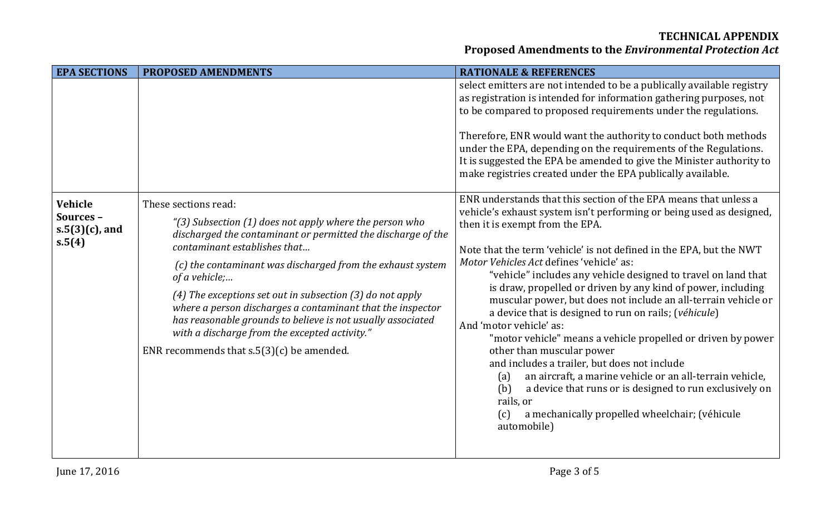#### **TECHNICAL APPENDIX**

# **Proposed Amendments to the** *Environmental Protection Act*

| <b>EPA SECTIONS</b>                                 | <b>PROPOSED AMENDMENTS</b>                                                                                                                                                                                                                                                                                                                                                                                                                                                                                                                                 | <b>RATIONALE &amp; REFERENCES</b>                                                                                                                                                                                                                                                                                                                                                                                                                                                                                                                                                                                                                                                                                                                                                                                                                                                                                                                             |
|-----------------------------------------------------|------------------------------------------------------------------------------------------------------------------------------------------------------------------------------------------------------------------------------------------------------------------------------------------------------------------------------------------------------------------------------------------------------------------------------------------------------------------------------------------------------------------------------------------------------------|---------------------------------------------------------------------------------------------------------------------------------------------------------------------------------------------------------------------------------------------------------------------------------------------------------------------------------------------------------------------------------------------------------------------------------------------------------------------------------------------------------------------------------------------------------------------------------------------------------------------------------------------------------------------------------------------------------------------------------------------------------------------------------------------------------------------------------------------------------------------------------------------------------------------------------------------------------------|
|                                                     |                                                                                                                                                                                                                                                                                                                                                                                                                                                                                                                                                            | select emitters are not intended to be a publically available registry<br>as registration is intended for information gathering purposes, not<br>to be compared to proposed requirements under the regulations.<br>Therefore, ENR would want the authority to conduct both methods<br>under the EPA, depending on the requirements of the Regulations.<br>It is suggested the EPA be amended to give the Minister authority to<br>make registries created under the EPA publically available.                                                                                                                                                                                                                                                                                                                                                                                                                                                                 |
| Vehicle<br>Sources -<br>$s.5(3)(c)$ , and<br>s.5(4) | These sections read:<br>"(3) Subsection (1) does not apply where the person who<br>discharged the contaminant or permitted the discharge of the<br>contaminant establishes that<br>(c) the contaminant was discharged from the exhaust system<br>of a vehicle;<br>(4) The exceptions set out in subsection $(3)$ do not apply<br>where a person discharges a contaminant that the inspector<br>has reasonable grounds to believe is not usually associated<br>with a discharge from the excepted activity."<br>ENR recommends that $s.5(3)(c)$ be amended. | ENR understands that this section of the EPA means that unless a<br>vehicle's exhaust system isn't performing or being used as designed,<br>then it is exempt from the EPA.<br>Note that the term 'vehicle' is not defined in the EPA, but the NWT<br>Motor Vehicles Act defines 'vehicle' as:<br>"vehicle" includes any vehicle designed to travel on land that<br>is draw, propelled or driven by any kind of power, including<br>muscular power, but does not include an all-terrain vehicle or<br>a device that is designed to run on rails; (véhicule)<br>And 'motor vehicle' as:<br>"motor vehicle" means a vehicle propelled or driven by power<br>other than muscular power<br>and includes a trailer, but does not include<br>an aircraft, a marine vehicle or an all-terrain vehicle,<br>(a)<br>(b)<br>a device that runs or is designed to run exclusively on<br>rails, or<br>a mechanically propelled wheelchair; (véhicule<br>(c)<br>automobile) |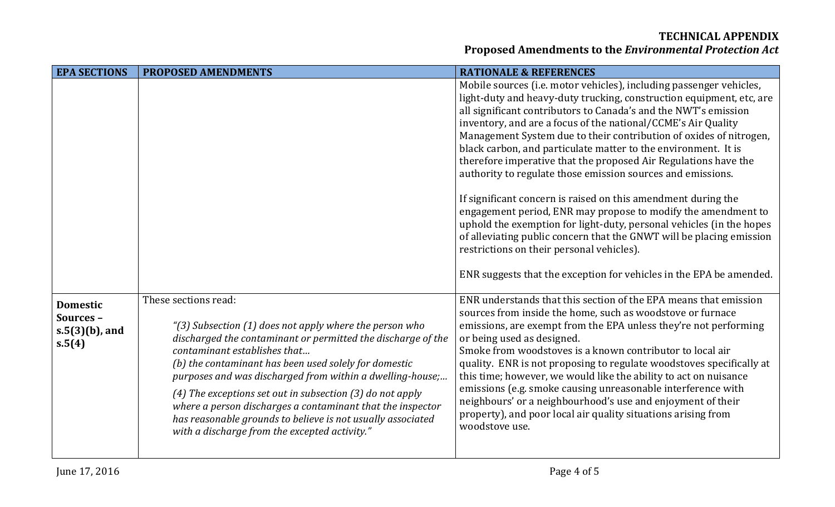#### **TECHNICAL APPENDIX Proposed Amendments to the** *Environmental Protection Act*

| <b>EPA SECTIONS</b>                                        | <b>PROPOSED AMENDMENTS</b>                                                                                                                                                                                                                                                                                                                                                                                                                                                                                                                         | <b>RATIONALE &amp; REFERENCES</b>                                                                                                                                                                                                                                                                                                                                                                                                                                                                                                                                                                                                                           |
|------------------------------------------------------------|----------------------------------------------------------------------------------------------------------------------------------------------------------------------------------------------------------------------------------------------------------------------------------------------------------------------------------------------------------------------------------------------------------------------------------------------------------------------------------------------------------------------------------------------------|-------------------------------------------------------------------------------------------------------------------------------------------------------------------------------------------------------------------------------------------------------------------------------------------------------------------------------------------------------------------------------------------------------------------------------------------------------------------------------------------------------------------------------------------------------------------------------------------------------------------------------------------------------------|
|                                                            |                                                                                                                                                                                                                                                                                                                                                                                                                                                                                                                                                    | Mobile sources (i.e. motor vehicles), including passenger vehicles,<br>light-duty and heavy-duty trucking, construction equipment, etc, are<br>all significant contributors to Canada's and the NWT's emission<br>inventory, and are a focus of the national/CCME's Air Quality<br>Management System due to their contribution of oxides of nitrogen,<br>black carbon, and particulate matter to the environment. It is<br>therefore imperative that the proposed Air Regulations have the<br>authority to regulate those emission sources and emissions.                                                                                                   |
|                                                            |                                                                                                                                                                                                                                                                                                                                                                                                                                                                                                                                                    | If significant concern is raised on this amendment during the<br>engagement period, ENR may propose to modify the amendment to<br>uphold the exemption for light-duty, personal vehicles (in the hopes<br>of alleviating public concern that the GNWT will be placing emission<br>restrictions on their personal vehicles).                                                                                                                                                                                                                                                                                                                                 |
|                                                            |                                                                                                                                                                                                                                                                                                                                                                                                                                                                                                                                                    | ENR suggests that the exception for vehicles in the EPA be amended.                                                                                                                                                                                                                                                                                                                                                                                                                                                                                                                                                                                         |
| <b>Domestic</b><br>Sources-<br>$s.5(3)(b)$ , and<br>s.5(4) | These sections read:<br>"(3) Subsection (1) does not apply where the person who<br>discharged the contaminant or permitted the discharge of the<br>contaminant establishes that<br>(b) the contaminant has been used solely for domestic<br>purposes and was discharged from within a dwelling-house;<br>(4) The exceptions set out in subsection $(3)$ do not apply<br>where a person discharges a contaminant that the inspector<br>has reasonable grounds to believe is not usually associated<br>with a discharge from the excepted activity." | ENR understands that this section of the EPA means that emission<br>sources from inside the home, such as woodstove or furnace<br>emissions, are exempt from the EPA unless they're not performing<br>or being used as designed.<br>Smoke from woodstoves is a known contributor to local air<br>quality. ENR is not proposing to regulate woodstoves specifically at<br>this time; however, we would like the ability to act on nuisance<br>emissions (e.g. smoke causing unreasonable interference with<br>neighbours' or a neighbourhood's use and enjoyment of their<br>property), and poor local air quality situations arising from<br>woodstove use. |